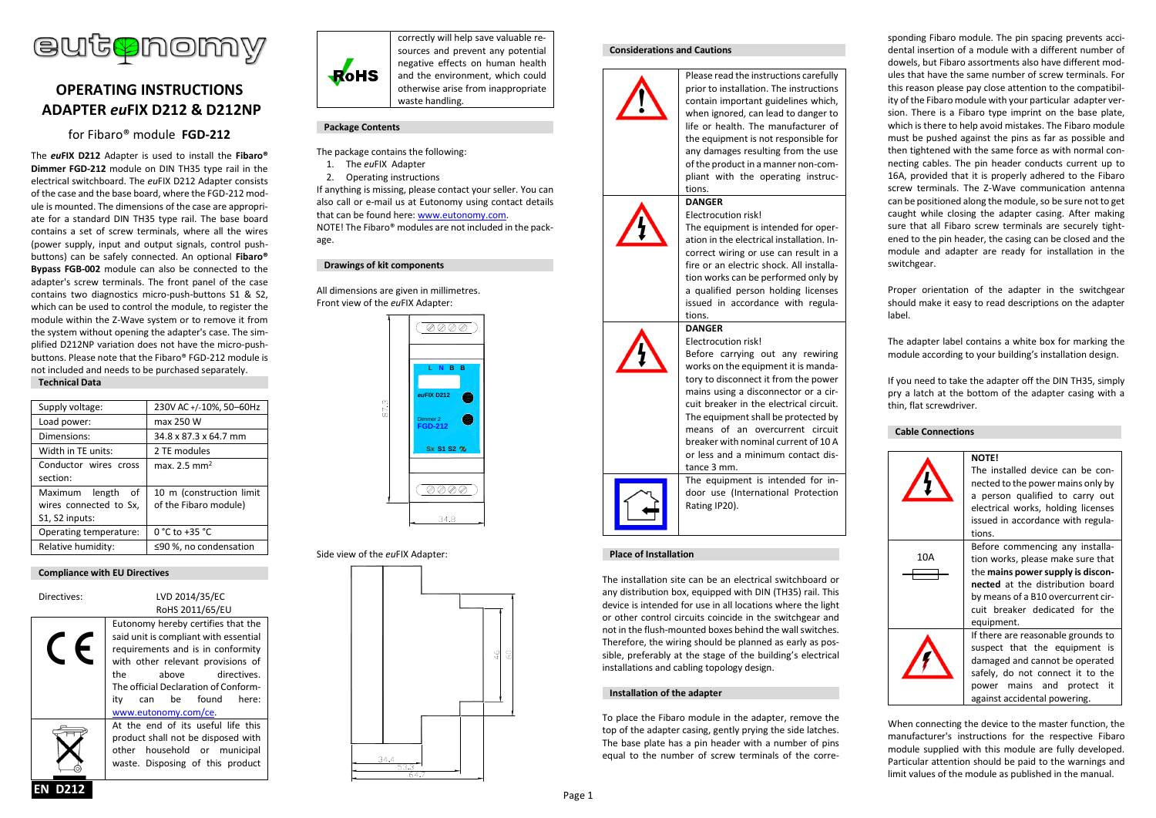

# **OPERATING INSTRUCTIONS ADAPTER** *eu***FIX D212 & D212NP**

for Fibaro® module **FGD-212**

The *eu***FIX D212** Adapter is used to install the **Fibaro® Dimmer FGD-212** module on DIN TH35 type rail in the electrical switchboard. The *eu*FIX D212 Adapter consists of the case and the base board, where the FGD-212 module is mounted. The dimensions of the case are appropriate for a standard DIN TH35 type rail. The base board contains a set of screw terminals, where all the wires (power supply, input and output signals, control pushbuttons) can be safely connected. An optional **Fibaro® Bypass FGB-002** module can also be connected to the adapter's screw terminals. The front panel of the case contains two diagnostics micro-push-buttons S1 & S2, which can be used to control the module, to register the module within the Z-Wave system or to remove it from the system without opening the adapter's case. The simplified D212NP variation does not have the micro-pushbuttons. Please note that the Fibaro® FGD-212 module is not included and needs to be purchased separately. **Technical Data**

| Supply voltage:        | 230V AC +/-10%, 50-60Hz  |
|------------------------|--------------------------|
| Load power:            | max 250 W                |
| Dimensions:            | 34.8 x 87.3 x 64.7 mm    |
| Width in TE units:     | 2 TE modules             |
| Conductor wires cross  | max. 2.5 mm <sup>2</sup> |
| section:               |                          |
| Maximum length<br>of   | 10 m (construction limit |
| wires connected to Sx, | of the Fibaro module)    |
| S1, S2 inputs:         |                          |
| Operating temperature: | 0 °C to +35 °C           |
| Relative humidity:     | ≤90 %, no condensation   |
|                        |                          |

## **Compliance with EU Directives**

Directives: LVD 2014/35/EC RoHS 2011/65/EU Eutonomy hereby certifies that the said unit is compliant with essential requirements and is in conformity with other relevant provisions of the above directives. The official Declaration of Conformity can be found here: [www.eutonomy.com/ce.](http://www.eutonomy.com/ce) At the end of its useful life this product shall not be disposed with other household or municipal waste. Disposing of this product



correctly will help save valuable resources and prevent any potential negative effects on human health and the environment, which could otherwise arise from inappropriate waste handling.

## **Package Contents**

- The package contains the following:
- 1. The *eu*FIX Adapter
- 2. Operating instructions

If anything is missing, please contact your seller. You can also call or e-mail us at Eutonomy using contact details that can be found here: [www.eutonomy.com.](http://www.eutonomy.com/) NOTE! The Fibaro® modules are not included in the package.

#### **Drawings of kit components**

All dimensions are given in millimetres. Front view of the *eu*FIX Adapter:



## Side view of the *eu*FIX Adapter:



#### **Considerations and Cautions**



prior to installation. The instructions contain important guidelines which, when ignored, can lead to danger to life or health. The manufacturer of the equipment is not responsible for any damages resulting from the use of the product in a manner non-compliant with the operating instructions.

Please read the instructions carefully

## Electrocution risk!

**DANGER**

The equipment is intended for operation in the electrical installation. Incorrect wiring or use can result in a fire or an electric shock. All installation works can be performed only by a qualified person holding licenses issued in accordance with regulations.

Before carrying out any rewiring works on the equipment it is mandatory to disconnect it from the power mains using a disconnector or a circuit breaker in the electrical circuit. The equipment shall be protected by means of an overcurrent circuit breaker with nominal current of 10 A or less and a minimum contact dis-

#### **DANGER** Electrocution risk!





The equipment is intended for indoor use (International Protection Rating IP20).

tance 3 mm.

## **Place of Installation**

The installation site can be an electrical switchboard or any distribution box, equipped with DIN (TH35) rail. This device is intended for use in all locations where the light or other control circuits coincide in the switchgear and not in the flush-mounted boxes behind the wall switches. Therefore, the wiring should be planned as early as possible, preferably at the stage of the building's electrical installations and cabling topology design.

#### **Installation of the adapter**

To place the Fibaro module in the adapter, remove the top of the adapter casing, gently prying the side latches. The base plate has a pin header with a number of pins equal to the number of screw terminals of the corresponding Fibaro module. The pin spacing prevents accidental insertion of a module with a different number of dowels, but Fibaro assortments also have different modules that have the same number of screw terminals. For this reason please pay close attention to the compatibility of the Fibaro module with your particular adapter version. There is a Fibaro type imprint on the base plate, which is there to help avoid mistakes. The Fibaro module must be pushed against the pins as far as possible and then tightened with the same force as with normal connecting cables. The pin header conducts current up to 16A, provided that it is properly adhered to the Fibaro screw terminals. The Z-Wave communication antenna can be positioned along the module, so be sure not to get caught while closing the adapter casing. After making sure that all Fibaro screw terminals are securely tightened to the pin header, the casing can be closed and the module and adapter are ready for installation in the switchgear.

Proper orientation of the adapter in the switchgear should make it easy to read descriptions on the adapter label.

The adapter label contains a white box for marking the module according to your building's installation design.

If you need to take the adapter off the DIN TH35, simply pry a latch at the bottom of the adapter casing with a thin, flat screwdriver.

### **Cable Connections**



When connecting the device to the master function, the manufacturer's instructions for the respective Fibaro module supplied with this module are fully developed. Particular attention should be paid to the warnings and limit values of the module as published in the manual.